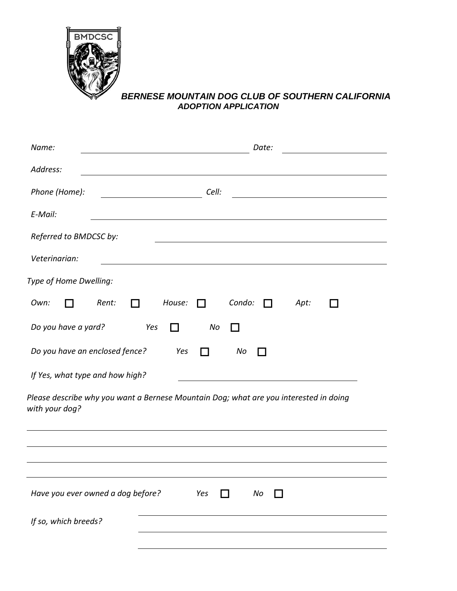

## *BERNESE MOUNTAIN DOG CLUB OF SOUTHERN CALIFORNIA ADOPTION APPLICATION*

| Name:                                                                                                                                 | Date: |  |  |  |  |  |  |  |
|---------------------------------------------------------------------------------------------------------------------------------------|-------|--|--|--|--|--|--|--|
| Address:                                                                                                                              |       |  |  |  |  |  |  |  |
| Phone (Home):<br>Cell:                                                                                                                |       |  |  |  |  |  |  |  |
| E-Mail:                                                                                                                               |       |  |  |  |  |  |  |  |
| Referred to BMDCSC by:                                                                                                                |       |  |  |  |  |  |  |  |
| Veterinarian:<br><u> 1980 - Johann Barn, mars ann an t-Amhain Aonaich an t-Aonaich an t-Aonaich ann an t-Aonaich ann an t-Aonaich</u> |       |  |  |  |  |  |  |  |
| Type of Home Dwelling:                                                                                                                |       |  |  |  |  |  |  |  |
| Condo:<br>House:<br>Own:<br>Rent:<br>$\Box$                                                                                           | Apt:  |  |  |  |  |  |  |  |
| Do you have a yard?<br>Yes<br>No<br>- 1                                                                                               |       |  |  |  |  |  |  |  |
| Do you have an enclosed fence?<br>Yes<br>No<br>- 1                                                                                    |       |  |  |  |  |  |  |  |
| If Yes, what type and how high?                                                                                                       |       |  |  |  |  |  |  |  |
| Please describe why you want a Bernese Mountain Dog; what are you interested in doing<br>with your dog?                               |       |  |  |  |  |  |  |  |
|                                                                                                                                       |       |  |  |  |  |  |  |  |
| Have you ever owned a dog before?<br>Yes<br>No                                                                                        |       |  |  |  |  |  |  |  |
| If so, which breeds?                                                                                                                  |       |  |  |  |  |  |  |  |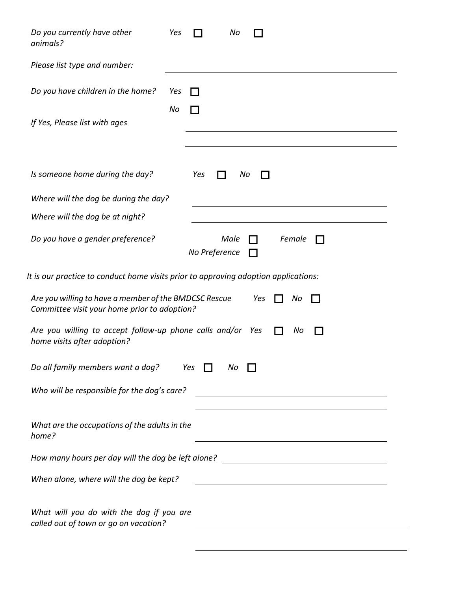| Do you currently have other<br>animals?                                                                            | Yes       |     |                       | No |  |                                                                                                                     |  |  |  |
|--------------------------------------------------------------------------------------------------------------------|-----------|-----|-----------------------|----|--|---------------------------------------------------------------------------------------------------------------------|--|--|--|
| Please list type and number:                                                                                       |           |     |                       |    |  |                                                                                                                     |  |  |  |
| Do you have children in the home?                                                                                  | Yes<br>No |     |                       |    |  |                                                                                                                     |  |  |  |
| If Yes, Please list with ages                                                                                      |           |     |                       |    |  |                                                                                                                     |  |  |  |
| Is someone home during the day?                                                                                    |           | Yes |                       | No |  |                                                                                                                     |  |  |  |
| Where will the dog be during the day?                                                                              |           |     |                       |    |  |                                                                                                                     |  |  |  |
| Where will the dog be at night?                                                                                    |           |     |                       |    |  |                                                                                                                     |  |  |  |
| Do you have a gender preference?                                                                                   |           |     | Male<br>No Preference |    |  | Female                                                                                                              |  |  |  |
| It is our practice to conduct home visits prior to approving adoption applications:                                |           |     |                       |    |  |                                                                                                                     |  |  |  |
| Are you willing to have a member of the BMDCSC Rescue<br>Yes<br>No<br>Committee visit your home prior to adoption? |           |     |                       |    |  |                                                                                                                     |  |  |  |
| Are you willing to accept follow-up phone calls and/or Yes<br>No<br>home visits after adoption?                    |           |     |                       |    |  |                                                                                                                     |  |  |  |
| Do all family members want a dog?<br>Yes<br>Νo                                                                     |           |     |                       |    |  |                                                                                                                     |  |  |  |
| Who will be responsible for the dog's care?                                                                        |           |     |                       |    |  | <u> 1980 - Johann Barn, mars eta bainar eta baina eta baina eta baina eta baina eta baina eta baina eta baina e</u> |  |  |  |
| What are the occupations of the adults in the<br>home?                                                             |           |     |                       |    |  |                                                                                                                     |  |  |  |
| How many hours per day will the dog be left alone?                                                                 |           |     |                       |    |  |                                                                                                                     |  |  |  |
| When alone, where will the dog be kept?                                                                            |           |     |                       |    |  |                                                                                                                     |  |  |  |
| What will you do with the dog if you are<br>called out of town or go on vacation?                                  |           |     |                       |    |  |                                                                                                                     |  |  |  |